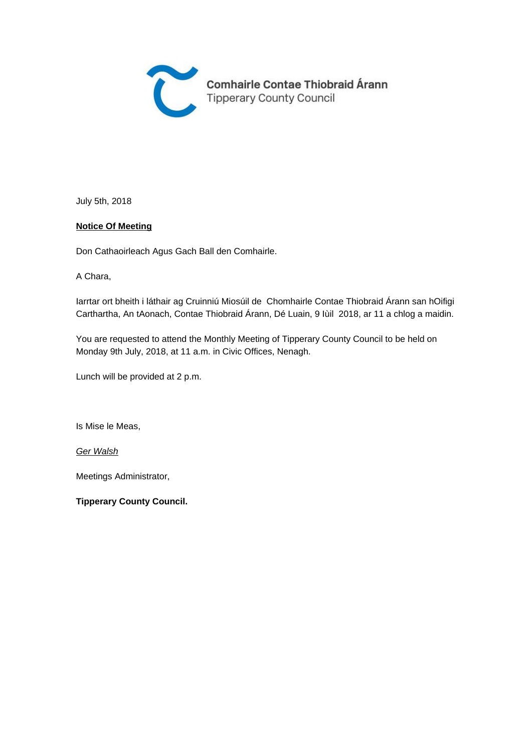

July 5th, 2018

#### **Notice Of Meeting**

Don Cathaoirleach Agus Gach Ball den Comhairle.

A Chara,

Iarrtar ort bheith i láthair ag Cruinniú Miosúil de Chomhairle Contae Thiobraid Árann san hOifigi Carthartha, An tAonach, Contae Thiobraid Árann, Dé Luain, 9 Iùil 2018, ar 11 a chlog a maidin.

You are requested to attend the Monthly Meeting of Tipperary County Council to be held on Monday 9th July, 2018, at 11 a.m. in Civic Offices, Nenagh.

Lunch will be provided at 2 p.m.

Is Mise le Meas,

Ger Walsh

Meetings Administrator,

**Tipperary County Council.**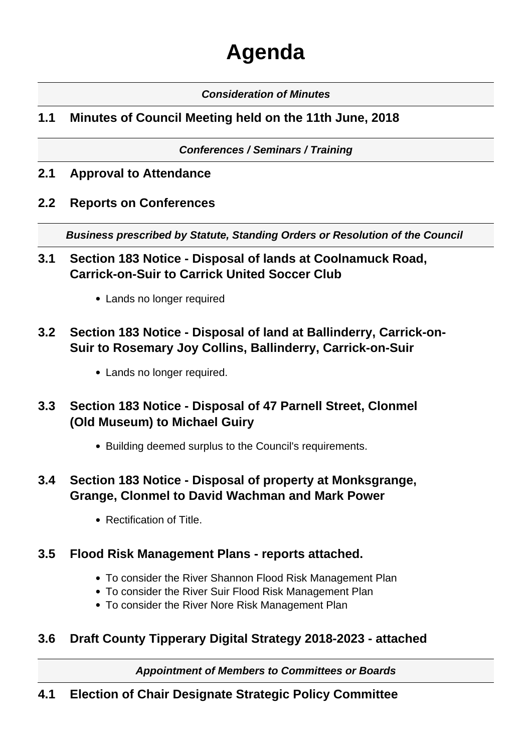# **Agenda**

## **Consideration of Minutes**

## **1.1 Minutes of Council Meeting held on the 11th June, 2018**

**Conferences / Seminars / Training**

- **2.1 Approval to Attendance**
- **2.2 Reports on Conferences**

**Business prescribed by Statute, Standing Orders or Resolution of the Council** 

- **3.1 Section 183 Notice Disposal of lands at Coolnamuck Road, Carrick-on-Suir to Carrick United Soccer Club**
	- Lands no longer required
- **3.2 Section 183 Notice Disposal of land at Ballinderry, Carrick-on-Suir to Rosemary Joy Collins, Ballinderry, Carrick-on-Suir**
	- Lands no longer required.
- **3.3 Section 183 Notice Disposal of 47 Parnell Street, Clonmel (Old Museum) to Michael Guiry**
	- Building deemed surplus to the Council's requirements.
- **3.4 Section 183 Notice Disposal of property at Monksgrange, Grange, Clonmel to David Wachman and Mark Power**
	- Rectification of Title.

## **3.5 Flood Risk Management Plans - reports attached.**

- To consider the River Shannon Flood Risk Management Plan
- To consider the River Suir Flood Risk Management Plan
- To consider the River Nore Risk Management Plan

## **3.6 Draft County Tipperary Digital Strategy 2018-2023 - attached**

**Appointment of Members to Committees or Boards**

## **4.1 Election of Chair Designate Strategic Policy Committee**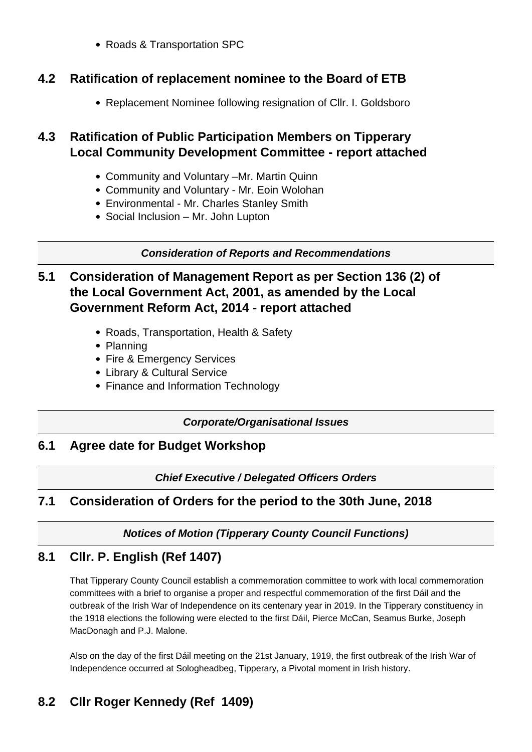• Roads & Transportation SPC

## **4.2 Ratification of replacement nominee to the Board of ETB**

Replacement Nominee following resignation of Cllr. I. Goldsboro

## **4.3 Ratification of Public Participation Members on Tipperary Local Community Development Committee - report attached**

- Community and Voluntary –Mr. Martin Quinn
- Community and Voluntary Mr. Eoin Wolohan
- Environmental Mr. Charles Stanley Smith
- Social Inclusion Mr. John Lupton

#### **Consideration of Reports and Recommendations**

## **5.1 Consideration of Management Report as per Section 136 (2) of the Local Government Act, 2001, as amended by the Local Government Reform Act, 2014 - report attached**

- Roads, Transportation, Health & Safety
- Planning
- Fire & Emergency Services
- Library & Cultural Service
- Finance and Information Technology

#### **Corporate/Organisational Issues**

## **6.1 Agree date for Budget Workshop**

## **Chief Executive / Delegated Officers Orders**

## **7.1 Consideration of Orders for the period to the 30th June, 2018**

## **Notices of Motion (Tipperary County Council Functions)**

## **8.1 Cllr. P. English (Ref 1407)**

That Tipperary County Council establish a commemoration committee to work with local commemoration committees with a brief to organise a proper and respectful commemoration of the first Dáil and the outbreak of the Irish War of Independence on its centenary year in 2019. In the Tipperary constituency in the 1918 elections the following were elected to the first Dáil, Pierce McCan, Seamus Burke, Joseph MacDonagh and P.J. Malone.

Also on the day of the first Dáil meeting on the 21st January, 1919, the first outbreak of the Irish War of Independence occurred at Sologheadbeg, Tipperary, a Pivotal moment in Irish history.

# **8.2 Cllr Roger Kennedy (Ref 1409)**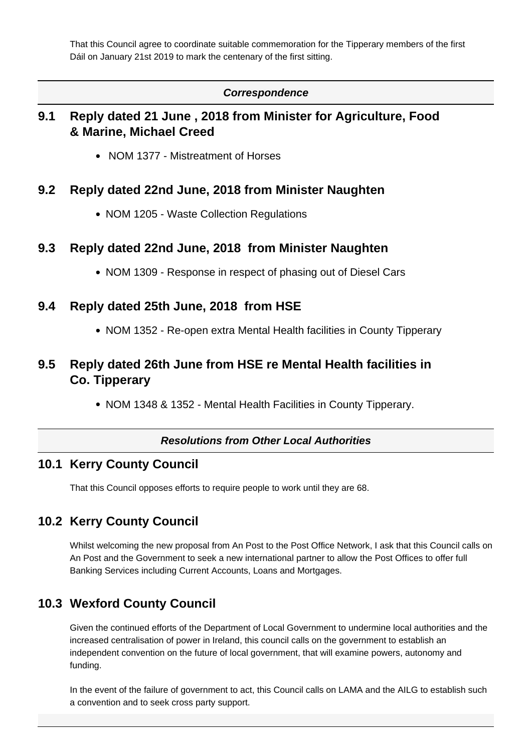That this Council agree to coordinate suitable commemoration for the Tipperary members of the first Dáil on January 21st 2019 to mark the centenary of the first sitting.

#### **Correspondence**

## **9.1 Reply dated 21 June , 2018 from Minister for Agriculture, Food & Marine, Michael Creed**

• NOM 1377 - Mistreatment of Horses

#### **9.2 Reply dated 22nd June, 2018 from Minister Naughten**

• NOM 1205 - Waste Collection Regulations

#### **9.3 Reply dated 22nd June, 2018 from Minister Naughten**

• NOM 1309 - Response in respect of phasing out of Diesel Cars

#### **9.4 Reply dated 25th June, 2018 from HSE**

• NOM 1352 - Re-open extra Mental Health facilities in County Tipperary

## **9.5 Reply dated 26th June from HSE re Mental Health facilities in Co. Tipperary**

• NOM 1348 & 1352 - Mental Health Facilities in County Tipperary.

#### **Resolutions from Other Local Authorities**

#### **10.1 Kerry County Council**

That this Council opposes efforts to require people to work until they are 68.

## **10.2 Kerry County Council**

Whilst welcoming the new proposal from An Post to the Post Office Network, I ask that this Council calls on An Post and the Government to seek a new international partner to allow the Post Offices to offer full Banking Services including Current Accounts, Loans and Mortgages.

## **10.3 Wexford County Council**

Given the continued efforts of the Department of Local Government to undermine local authorities and the increased centralisation of power in Ireland, this council calls on the government to establish an independent convention on the future of local government, that will examine powers, autonomy and funding.

In the event of the failure of government to act, this Council calls on LAMA and the AILG to establish such a convention and to seek cross party support.